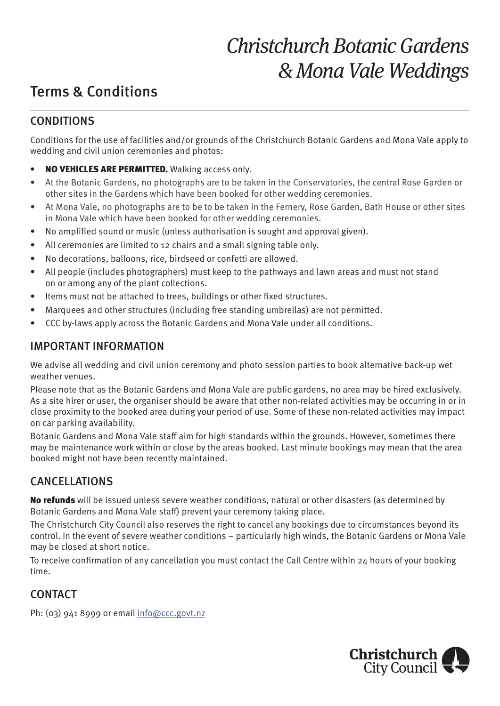# Christchurch Botanic Gardens & Mona Vale Weddings

## Terms & Conditions

#### CONDITIONS

Conditions for the use of facilities and/or grounds of the Christchurch Botanic Gardens and Mona Vale apply to wedding and civil union ceremonies and photos:

- NO VEHICLES ARE PERMITTED. Walking access only.
- At the Botanic Gardens, no photographs are to be taken in the Conservatories, the central Rose Garden or other sites in the Gardens which have been booked for other wedding ceremonies.
- At Mona Vale, no photographs are to be to be taken in the Fernery, Rose Garden, Bath House or other sites in Mona Vale which have been booked for other wedding ceremonies.
- No amplified sound or music (unless authorisation is sought and approval given).
- All ceremonies are limited to 12 chairs and a small signing table only.
- No decorations, balloons, rice, birdseed or confetti are allowed.
- All people (includes photographers) must keep to the pathways and lawn areas and must not stand on or among any of the plant collections.
- Items must not be attached to trees, buildings or other fixed structures.
- Marquees and other structures (including free standing umbrellas) are not permitted.
- CCC by-laws apply across the Botanic Gardens and Mona Vale under all conditions.

#### IMPORTANT INFORMATION

We advise all wedding and civil union ceremony and photo session parties to book alternative back-up wet weather venues.

Please note that as the Botanic Gardens and Mona Vale are public gardens, no area may be hired exclusively. As a site hirer or user, the organiser should be aware that other non-related activities may be occurring in or in close proximity to the booked area during your period of use. Some of these non-related activities may impact on car parking availability.

Botanic Gardens and Mona Vale staff aim for high standards within the grounds. However, sometimes there may be maintenance work within or close by the areas booked. Last minute bookings may mean that the area booked might not have been recently maintained.

### CANCELLATIONS

No refunds will be issued unless severe weather conditions, natural or other disasters (as determined by Botanic Gardens and Mona Vale staff) prevent your ceremony taking place.

The Christchurch City Council also reserves the right to cancel any bookings due to circumstances beyond its control. In the event of severe weather conditions – particularly high winds, the Botanic Gardens or Mona Vale may be closed at short notice.

To receive confirmation of any cancellation you must contact the Call Centre within 24 hours of your booking time.

### **CONTACT**

Ph: (03) 941 8999 or email info@ccc.govt.nz

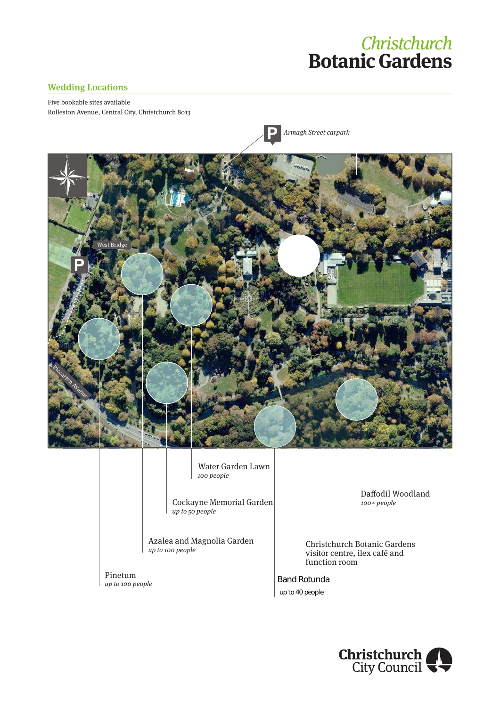## **Christchurch Botanic Gardens**

#### Wedding Locations

N

Five bookable sites available Rolleston Avenue, Central City, Christchurch 8013



Water Garden Lawn 100 people

Cockayne Memorial Garden up to 50 people

Azalea and Magnolia Garden **Christchurch Botanic Gardens** up to 100 people

Pinetum up to 100 people

Daffodil Woodland 100+ people

visitor centre, ilex café and function room

Band Rotunda up to 40 people